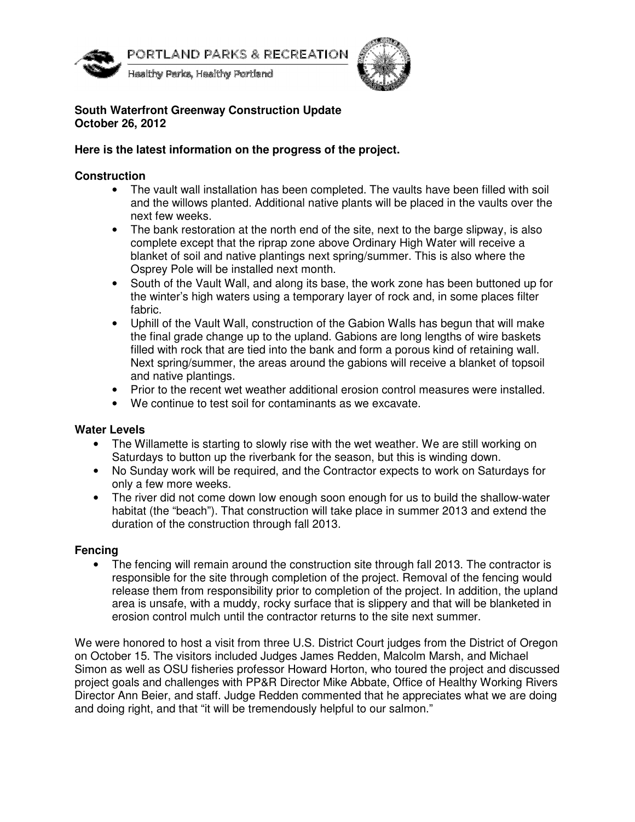

PORTLAND PARKS & RECREATION

Healthy Parks, Healthy Portland



# **South Waterfront Greenway Construction Update October 26, 2012**

# **Here is the latest information on the progress of the project.**

# **Construction**

- The vault wall installation has been completed. The vaults have been filled with soil and the willows planted. Additional native plants will be placed in the vaults over the next few weeks.
- The bank restoration at the north end of the site, next to the barge slipway, is also complete except that the riprap zone above Ordinary High Water will receive a blanket of soil and native plantings next spring/summer. This is also where the Osprey Pole will be installed next month.
- South of the Vault Wall, and along its base, the work zone has been buttoned up for the winter's high waters using a temporary layer of rock and, in some places filter fabric.
- Uphill of the Vault Wall, construction of the Gabion Walls has begun that will make the final grade change up to the upland. Gabions are long lengths of wire baskets filled with rock that are tied into the bank and form a porous kind of retaining wall. Next spring/summer, the areas around the gabions will receive a blanket of topsoil and native plantings.
- Prior to the recent wet weather additional erosion control measures were installed.
- We continue to test soil for contaminants as we excavate.

# **Water Levels**

- The Willamette is starting to slowly rise with the wet weather. We are still working on Saturdays to button up the riverbank for the season, but this is winding down.
- No Sunday work will be required, and the Contractor expects to work on Saturdays for only a few more weeks.
- The river did not come down low enough soon enough for us to build the shallow-water habitat (the "beach"). That construction will take place in summer 2013 and extend the duration of the construction through fall 2013.

# **Fencing**

• The fencing will remain around the construction site through fall 2013. The contractor is responsible for the site through completion of the project. Removal of the fencing would release them from responsibility prior to completion of the project. In addition, the upland area is unsafe, with a muddy, rocky surface that is slippery and that will be blanketed in erosion control mulch until the contractor returns to the site next summer.

We were honored to host a visit from three U.S. District Court judges from the District of Oregon on October 15. The visitors included Judges James Redden, Malcolm Marsh, and Michael Simon as well as OSU fisheries professor Howard Horton, who toured the project and discussed project goals and challenges with PP&R Director Mike Abbate, Office of Healthy Working Rivers Director Ann Beier, and staff. Judge Redden commented that he appreciates what we are doing and doing right, and that "it will be tremendously helpful to our salmon."